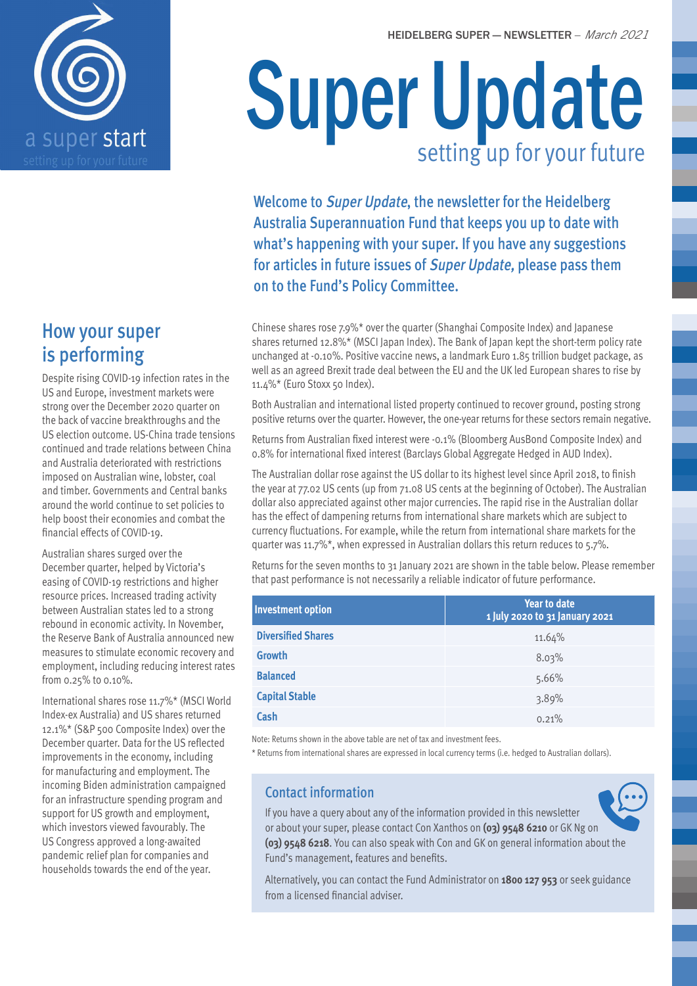

### How your super is performing

Despite rising COVID-19 infection rates in the US and Europe, investment markets were strong over the December 2020 quarter on the back of vaccine breakthroughs and the US election outcome. US-China trade tensions continued and trade relations between China and Australia deteriorated with restrictions imposed on Australian wine, lobster, coal and timber. Governments and Central banks around the world continue to set policies to help boost their economies and combat the financial effects of COVID-19.

Australian shares surged over the December quarter, helped by Victoria's easing of COVID-19 restrictions and higher resource prices. Increased trading activity between Australian states led to a strong rebound in economic activity. In November, the Reserve Bank of Australia announced new measures to stimulate economic recovery and employment, including reducing interest rates from 0.25% to 0.10%.

International shares rose 11.7%\* (MSCI World Index-ex Australia) and US shares returned 12.1%\* (S&P 500 Composite Index) over the December quarter. Data for the US reflected improvements in the economy, including for manufacturing and employment. The incoming Biden administration campaigned for an infrastructure spending program and support for US growth and employment, which investors viewed favourably. The US Congress approved a long-awaited pandemic relief plan for companies and households towards the end of the year.

# Super Update setting up for your future

Welcome to Super Update, the newsletter for the Heidelberg Australia Superannuation Fund that keeps you up to date with what's happening with your super. If you have any suggestions for articles in future issues of Super Update, please pass them on to the Fund's Policy Committee.

Chinese shares rose 7.9%\* over the quarter (Shanghai Composite Index) and Japanese shares returned 12.8%\* (MSCI Japan Index). The Bank of Japan kept the short-term policy rate unchanged at -0.10%. Positive vaccine news, a landmark Euro 1.85 trillion budget package, as well as an agreed Brexit trade deal between the EU and the UK led European shares to rise by 11.4%\* (Euro Stoxx 50 Index).

Both Australian and international listed property continued to recover ground, posting strong positive returns over the quarter. However, the one-year returns for these sectors remain negative.

Returns from Australian fixed interest were -0.1% (Bloomberg AusBond Composite Index) and 0.8% for international fixed interest (Barclays Global Aggregate Hedged in AUD Index).

The Australian dollar rose against the US dollar to its highest level since April 2018, to finish the year at 77.02 US cents (up from 71.08 US cents at the beginning of October). The Australian dollar also appreciated against other major currencies. The rapid rise in the Australian dollar has the effect of dampening returns from international share markets which are subject to currency fluctuations. For example, while the return from international share markets for the quarter was 11.7%\*, when expressed in Australian dollars this return reduces to 5.7%.

Returns for the seven months to 31 January 2021 are shown in the table below. Please remember that past performance is not necessarily a reliable indicator of future performance.

| <b>Investment option</b>  | <b>Year to date</b><br>1 July 2020 to 31 January 2021 |
|---------------------------|-------------------------------------------------------|
| <b>Diversified Shares</b> | 11.64%                                                |
| <b>Growth</b>             | 8.03%                                                 |
| <b>Balanced</b>           | 5.66%                                                 |
| <b>Capital Stable</b>     | 3.89%                                                 |
| Cash                      | 0.21%                                                 |

Note: Returns shown in the above table are net of tax and investment fees.

\* Returns from international shares are expressed in local currency terms (i.e. hedged to Australian dollars).

#### Contact information

If you have a query about any of the information provided in this newsletter or about your super, please contact Con Xanthos on **(03) 9548 6210** or GK Ng on **(03) 9548 6218**. You can also speak with Con and GK on general information about the Fund's management, features and benefits.

Alternatively, you can contact the Fund Administrator on **1800 127 953** or seek guidance from a licensed financial adviser.